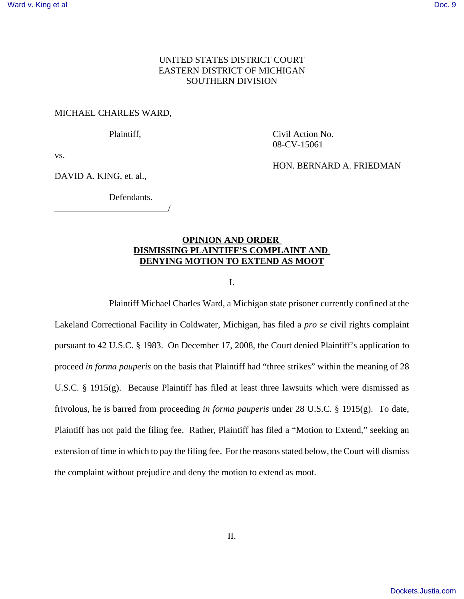## UNITED STATES DISTRICT COURT EASTERN DISTRICT OF MICHIGAN SOUTHERN DIVISION

## MICHAEL CHARLES WARD,

Plaintiff, Civil Action No. 08-CV-15061

vs.

DAVID A. KING, et. al.,

HON. BERNARD A. FRIEDMAN

Defendants. \_\_\_\_\_\_\_\_\_\_\_\_\_\_\_\_\_\_\_\_\_\_\_\_\_/

## **OPINION AND ORDER DISMISSING PLAINTIFF'S COMPLAINT AND DENYING MOTION TO EXTEND AS MOOT**

I.

Plaintiff Michael Charles Ward, a Michigan state prisoner currently confined at the Lakeland Correctional Facility in Coldwater, Michigan, has filed a *pro se* civil rights complaint pursuant to 42 U.S.C. § 1983. On December 17, 2008, the Court denied Plaintiff's application to proceed *in forma pauperis* on the basis that Plaintiff had "three strikes" within the meaning of 28 U.S.C. § 1915(g). Because Plaintiff has filed at least three lawsuits which were dismissed as frivolous, he is barred from proceeding *in forma pauperis* under 28 U.S.C. § 1915(g). To date, Plaintiff has not paid the filing fee. Rather, Plaintiff has filed a "Motion to Extend," seeking an extension of time in which to pay the filing fee. For the reasons stated below, the Court will dismiss the complaint without prejudice and deny the motion to extend as moot.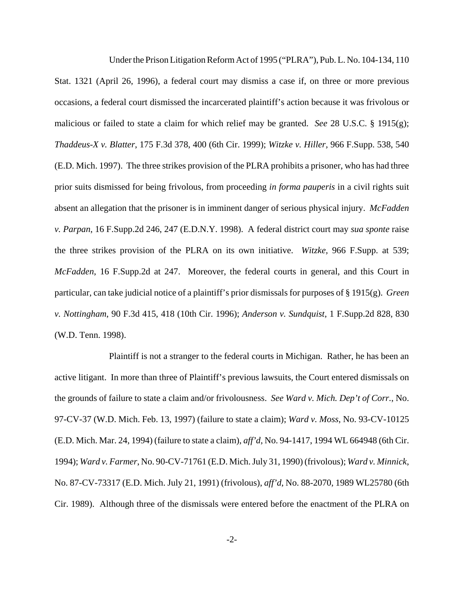Under the Prison Litigation Reform Act of 1995 ("PLRA"), Pub. L. No. 104-134, 110 Stat. 1321 (April 26, 1996), a federal court may dismiss a case if, on three or more previous occasions, a federal court dismissed the incarcerated plaintiff's action because it was frivolous or malicious or failed to state a claim for which relief may be granted. *See* 28 U.S.C. § 1915(g); *Thaddeus-X v. Blatter*, 175 F.3d 378, 400 (6th Cir. 1999); *Witzke v. Hiller,* 966 F.Supp. 538, 540 (E.D. Mich. 1997). The three strikes provision of the PLRA prohibits a prisoner, who has had three prior suits dismissed for being frivolous, from proceeding *in forma pauperis* in a civil rights suit absent an allegation that the prisoner is in imminent danger of serious physical injury. *McFadden v. Parpan*, 16 F.Supp.2d 246, 247 (E.D.N.Y. 1998). A federal district court may *sua sponte* raise the three strikes provision of the PLRA on its own initiative. *Witzke,* 966 F.Supp. at 539; *McFadden*, 16 F.Supp.2d at 247. Moreover, the federal courts in general, and this Court in particular, can take judicial notice of a plaintiff's prior dismissals for purposes of § 1915(g). *Green v. Nottingham*, 90 F.3d 415, 418 (10th Cir. 1996); *Anderson v. Sundquist*, 1 F.Supp.2d 828, 830 (W.D. Tenn. 1998).

Plaintiff is not a stranger to the federal courts in Michigan. Rather, he has been an active litigant. In more than three of Plaintiff's previous lawsuits, the Court entered dismissals on the grounds of failure to state a claim and/or frivolousness. *See Ward v. Mich. Dep't of Corr.*, No. 97-CV-37 (W.D. Mich. Feb. 13, 1997) (failure to state a claim); *Ward v. Moss*, No. 93-CV-10125 (E.D. Mich. Mar. 24, 1994) (failure to state a claim), *aff'd*, No. 94-1417, 1994 WL 664948 (6th Cir. 1994); *Ward v. Farmer*, No. 90-CV-71761 (E.D. Mich. July 31, 1990) (frivolous); *Ward v. Minnick*, No. 87-CV-73317 (E.D. Mich. July 21, 1991) (frivolous), *aff'd*, No. 88-2070, 1989 WL25780 (6th Cir. 1989). Although three of the dismissals were entered before the enactment of the PLRA on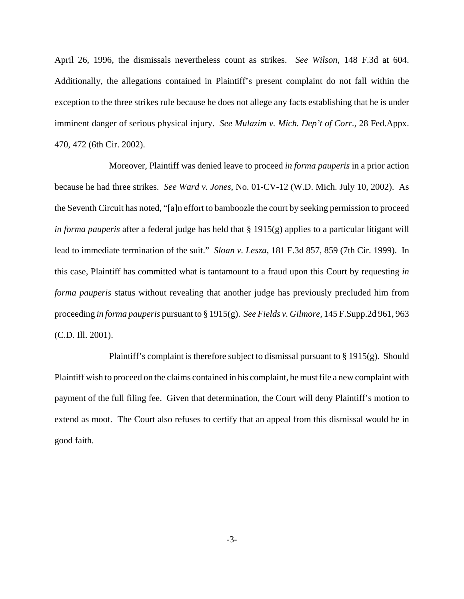April 26, 1996, the dismissals nevertheless count as strikes. *See Wilson*, 148 F.3d at 604. Additionally, the allegations contained in Plaintiff's present complaint do not fall within the exception to the three strikes rule because he does not allege any facts establishing that he is under imminent danger of serious physical injury. *See Mulazim v. Mich. Dep't of Corr.*, 28 Fed.Appx. 470, 472 (6th Cir. 2002).

Moreover, Plaintiff was denied leave to proceed *in forma pauperis* in a prior action because he had three strikes. *See Ward v. Jones*, No. 01-CV-12 (W.D. Mich. July 10, 2002). As the Seventh Circuit has noted, "[a]n effort to bamboozle the court by seeking permission to proceed *in forma pauperis* after a federal judge has held that § 1915(g) applies to a particular litigant will lead to immediate termination of the suit." *Sloan v. Lesza,* 181 F.3d 857, 859 (7th Cir. 1999). In this case, Plaintiff has committed what is tantamount to a fraud upon this Court by requesting *in forma pauperis* status without revealing that another judge has previously precluded him from proceeding *in forma pauperis* pursuant to § 1915(g). *See Fields v. Gilmore,* 145 F.Supp.2d 961, 963 (C.D. Ill. 2001).

Plaintiff's complaint is therefore subject to dismissal pursuant to § 1915(g). Should Plaintiff wish to proceed on the claims contained in his complaint, he must file a new complaint with payment of the full filing fee. Given that determination, the Court will deny Plaintiff's motion to extend as moot. The Court also refuses to certify that an appeal from this dismissal would be in good faith.